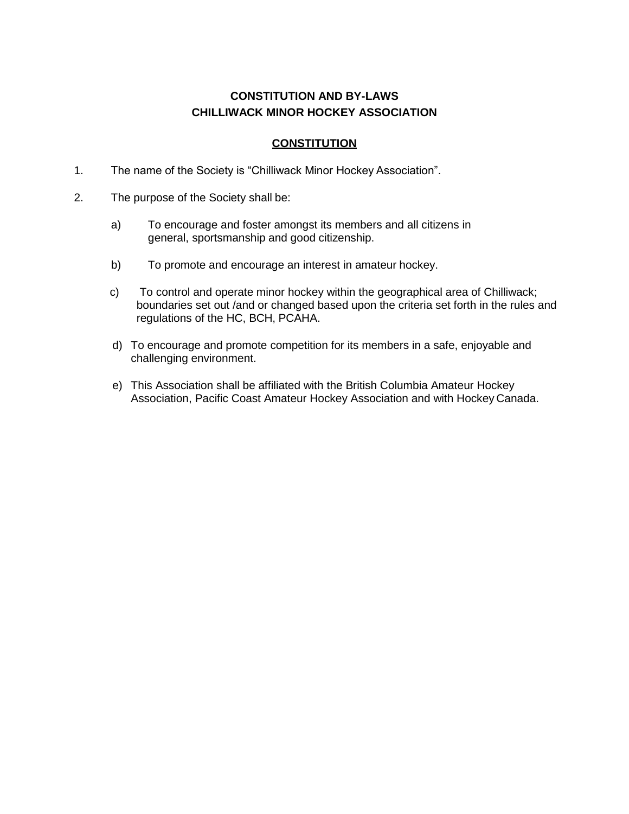# **CONSTITUTION AND BY-LAWS CHILLIWACK MINOR HOCKEY ASSOCIATION**

### **CONSTITUTION**

- 1. The name of the Society is "Chilliwack Minor Hockey Association".
- 2. The purpose of the Society shall be:
	- a) To encourage and foster amongst its members and all citizens in general, sportsmanship and good citizenship.
	- b) To promote and encourage an interest in amateur hockey.
	- c) To control and operate minor hockey within the geographical area of Chilliwack; boundaries set out /and or changed based upon the criteria set forth in the rules and regulations of the HC, BCH, PCAHA.
	- d) To encourage and promote competition for its members in a safe, enjoyable and challenging environment.
	- e) This Association shall be affiliated with the British Columbia Amateur Hockey Association, Pacific Coast Amateur Hockey Association and with Hockey Canada.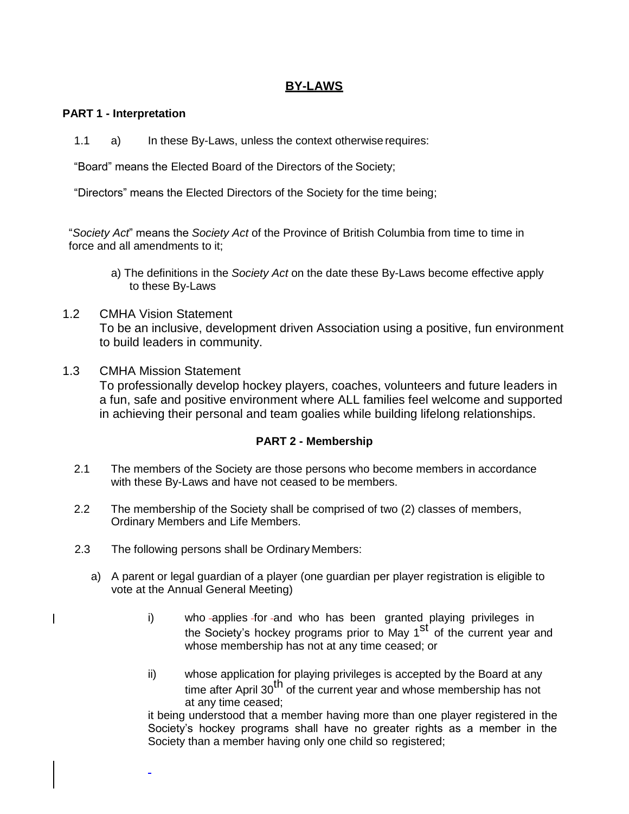## **BY-LAWS**

### **PART 1 - Interpretation**

1.1 a) In these By-Laws, unless the context otherwise requires:

"Board" means the Elected Board of the Directors of the Society;

"Directors" means the Elected Directors of the Society for the time being;

"*Society Act*" means the *Society Act* of the Province of British Columbia from time to time in force and all amendments to it;

- a) The definitions in the *Society Act* on the date these By-Laws become effective apply to these By-Laws
- 1.2 CMHA Vision Statement To be an inclusive, development driven Association using a positive, fun environment to build leaders in community.

#### 1.3 CMHA Mission Statement

To professionally develop hockey players, coaches, volunteers and future leaders in a fun, safe and positive environment where ALL families feel welcome and supported in achieving their personal and team goalies while building lifelong relationships.

### **PART 2 - Membership**

- 2.1 The members of the Society are those persons who become members in accordance with these By-Laws and have not ceased to be members.
- 2.2 The membership of the Society shall be comprised of two (2) classes of members, Ordinary Members and Life Members.
- 2.3 The following persons shall be Ordinary Members:
	- a) A parent or legal guardian of a player (one guardian per player registration is eligible to vote at the Annual General Meeting)
		- i) who applies for and who has been granted playing privileges in the Society's hockey programs prior to May 1<sup>st</sup> of the current year and whose membership has not at any time ceased; or
		- ii) whose application for playing privileges is accepted by the Board at any time after April 30<sup>th</sup> of the current year and whose membership has not at any time ceased;

it being understood that a member having more than one player registered in the Society's hockey programs shall have no greater rights as a member in the Society than a member having only one child so registered;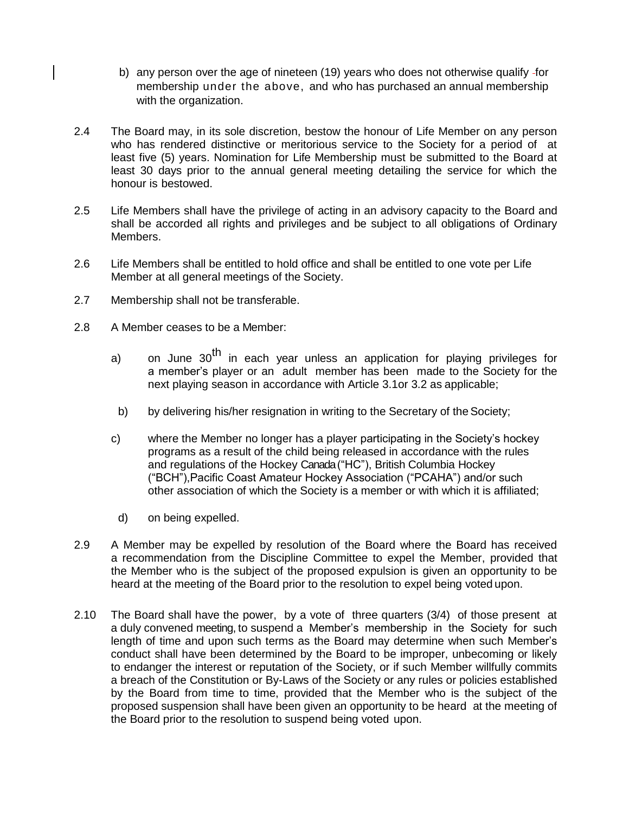- b) any person over the age of nineteen (19) years who does not otherwise qualify for membership under the above, and who has purchased an annual membership with the organization.
- 2.4 The Board may, in its sole discretion, bestow the honour of Life Member on any person who has rendered distinctive or meritorious service to the Society for a period of at least five (5) years. Nomination for Life Membership must be submitted to the Board at least 30 days prior to the annual general meeting detailing the service for which the honour is bestowed.
- 2.5 Life Members shall have the privilege of acting in an advisory capacity to the Board and shall be accorded all rights and privileges and be subject to all obligations of Ordinary Members.
- 2.6 Life Members shall be entitled to hold office and shall be entitled to one vote per Life Member at all general meetings of the Society.
- 2.7 Membership shall not be transferable.
- 2.8 A Member ceases to be a Member:
	- a) on June 30<sup>th</sup> in each year unless an application for playing privileges for a member's player or an adult member has been made to the Society for the next playing season in accordance with Article 3.1or 3.2 as applicable;
	- b) by delivering his/her resignation in writing to the Secretary of the Society;
	- c) where the Member no longer has a player participating in the Society's hockey programs as a result of the child being released in accordance with the rules and regulations of the Hockey Canada ("HC"), British Columbia Hockey ("BCH"),Pacific Coast Amateur Hockey Association ("PCAHA") and/or such other association of which the Society is a member or with which it is affiliated;
	- d) on being expelled.
- 2.9 A Member may be expelled by resolution of the Board where the Board has received a recommendation from the Discipline Committee to expel the Member, provided that the Member who is the subject of the proposed expulsion is given an opportunity to be heard at the meeting of the Board prior to the resolution to expel being voted upon.
- 2.10 The Board shall have the power, by a vote of three quarters (3/4) of those present at a duly convened meeting, to suspend a Member's membership in the Society for such length of time and upon such terms as the Board may determine when such Member's conduct shall have been determined by the Board to be improper, unbecoming or likely to endanger the interest or reputation of the Society, or if such Member willfully commits a breach of the Constitution or By-Laws of the Society or any rules or policies established by the Board from time to time, provided that the Member who is the subject of the proposed suspension shall have been given an opportunity to be heard at the meeting of the Board prior to the resolution to suspend being voted upon.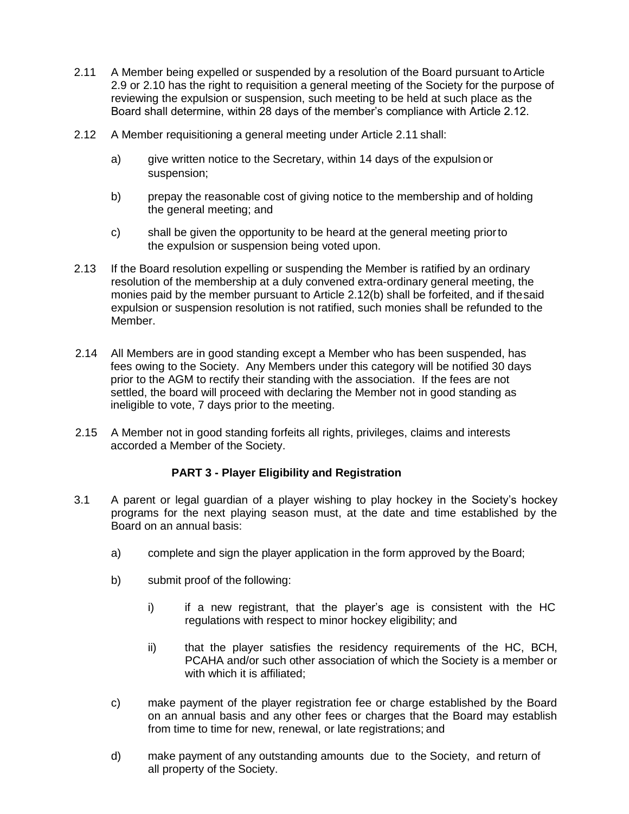- 2.11 A Member being expelled or suspended by a resolution of the Board pursuant to Article 2.9 or 2.10 has the right to requisition a general meeting of the Society for the purpose of reviewing the expulsion or suspension, such meeting to be held at such place as the Board shall determine, within 28 days of the member's compliance with Article 2.12.
- 2.12 A Member requisitioning a general meeting under Article 2.11 shall:
	- a) give written notice to the Secretary, within 14 days of the expulsion or suspension;
	- b) prepay the reasonable cost of giving notice to the membership and of holding the general meeting; and
	- c) shall be given the opportunity to be heard at the general meeting priorto the expulsion or suspension being voted upon.
- 2.13 If the Board resolution expelling or suspending the Member is ratified by an ordinary resolution of the membership at a duly convened extra-ordinary general meeting, the monies paid by the member pursuant to Article 2.12(b) shall be forfeited, and if thesaid expulsion or suspension resolution is not ratified, such monies shall be refunded to the Member.
- 2.14 All Members are in good standing except a Member who has been suspended, has fees owing to the Society. Any Members under this category will be notified 30 days prior to the AGM to rectify their standing with the association. If the fees are not settled, the board will proceed with declaring the Member not in good standing as ineligible to vote, 7 days prior to the meeting.
- 2.15 A Member not in good standing forfeits all rights, privileges, claims and interests accorded a Member of the Society.

### **PART 3 - Player Eligibility and Registration**

- 3.1 A parent or legal guardian of a player wishing to play hockey in the Society's hockey programs for the next playing season must, at the date and time established by the Board on an annual basis:
	- a) complete and sign the player application in the form approved by the Board;
	- b) submit proof of the following:
		- i) if a new registrant, that the player's age is consistent with the HC regulations with respect to minor hockey eligibility; and
		- ii) that the player satisfies the residency requirements of the HC, BCH, PCAHA and/or such other association of which the Society is a member or with which it is affiliated;
	- c) make payment of the player registration fee or charge established by the Board on an annual basis and any other fees or charges that the Board may establish from time to time for new, renewal, or late registrations; and
	- d) make payment of any outstanding amounts due to the Society, and return of all property of the Society.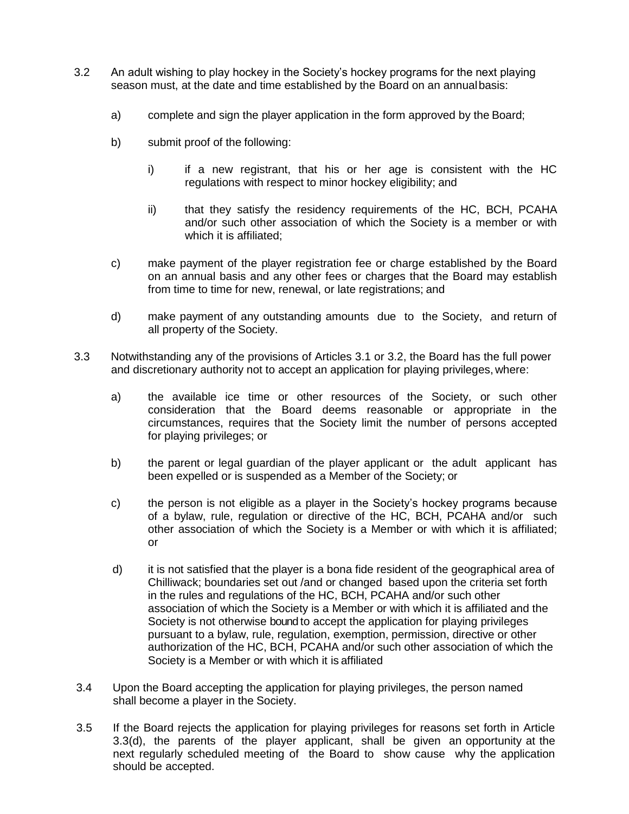- 3.2 An adult wishing to play hockey in the Society's hockey programs for the next playing season must, at the date and time established by the Board on an annualbasis:
	- a) complete and sign the player application in the form approved by the Board;
	- b) submit proof of the following:
		- i) if a new registrant, that his or her age is consistent with the HC regulations with respect to minor hockey eligibility; and
		- ii) that they satisfy the residency requirements of the HC, BCH, PCAHA and/or such other association of which the Society is a member or with which it is affiliated;
	- c) make payment of the player registration fee or charge established by the Board on an annual basis and any other fees or charges that the Board may establish from time to time for new, renewal, or late registrations; and
	- d) make payment of any outstanding amounts due to the Society, and return of all property of the Society.
- 3.3 Notwithstanding any of the provisions of Articles 3.1 or 3.2, the Board has the full power and discretionary authority not to accept an application for playing privileges, where:
	- a) the available ice time or other resources of the Society, or such other consideration that the Board deems reasonable or appropriate in the circumstances, requires that the Society limit the number of persons accepted for playing privileges; or
	- b) the parent or legal guardian of the player applicant or the adult applicant has been expelled or is suspended as a Member of the Society; or
	- c) the person is not eligible as a player in the Society's hockey programs because of a bylaw, rule, regulation or directive of the HC, BCH, PCAHA and/or such other association of which the Society is a Member or with which it is affiliated; or
	- d) it is not satisfied that the player is a bona fide resident of the geographical area of Chilliwack; boundaries set out /and or changed based upon the criteria set forth in the rules and regulations of the HC, BCH, PCAHA and/or such other association of which the Society is a Member or with which it is affiliated and the Society is not otherwise bound to accept the application for playing privileges pursuant to a bylaw, rule, regulation, exemption, permission, directive or other authorization of the HC, BCH, PCAHA and/or such other association of which the Society is a Member or with which it is affiliated
- 3.4 Upon the Board accepting the application for playing privileges, the person named shall become a player in the Society.
- 3.5 If the Board rejects the application for playing privileges for reasons set forth in Article 3.3(d), the parents of the player applicant, shall be given an opportunity at the next regularly scheduled meeting of the Board to show cause why the application should be accepted.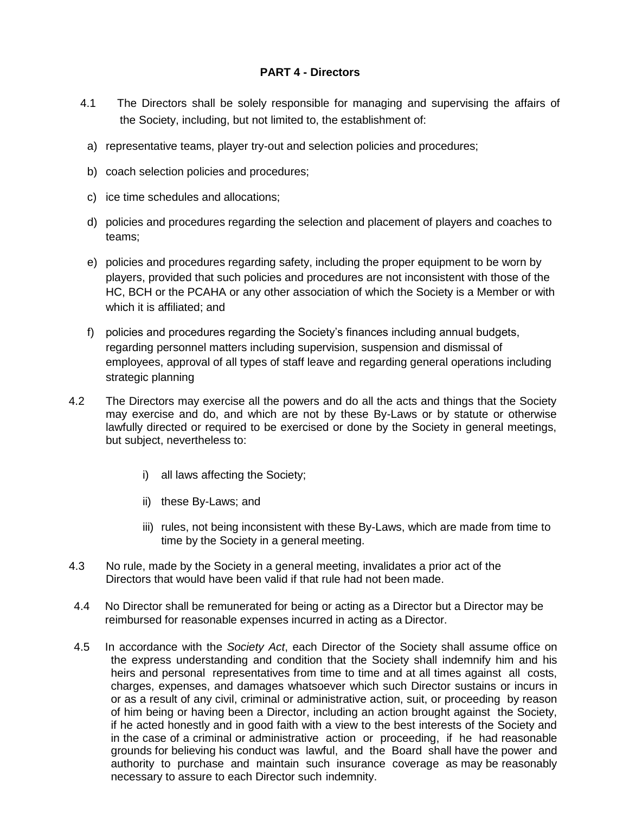## **PART 4 - Directors**

- 4.1 The Directors shall be solely responsible for managing and supervising the affairs of the Society, including, but not limited to, the establishment of:
	- a) representative teams, player try-out and selection policies and procedures;
	- b) coach selection policies and procedures;
	- c) ice time schedules and allocations;
	- d) policies and procedures regarding the selection and placement of players and coaches to teams;
	- e) policies and procedures regarding safety, including the proper equipment to be worn by players, provided that such policies and procedures are not inconsistent with those of the HC, BCH or the PCAHA or any other association of which the Society is a Member or with which it is affiliated; and
- f) policies and procedures regarding the Society's finances including annual budgets, regarding personnel matters including supervision, suspension and dismissal of employees, approval of all types of staff leave and regarding general operations including strategic planning
- 4.2 The Directors may exercise all the powers and do all the acts and things that the Society may exercise and do, and which are not by these By-Laws or by statute or otherwise lawfully directed or required to be exercised or done by the Society in general meetings, but subject, nevertheless to:
	- i) all laws affecting the Society;
	- ii) these By-Laws; and
	- iii) rules, not being inconsistent with these By-Laws, which are made from time to time by the Society in a general meeting.
- 4.3 No rule, made by the Society in a general meeting, invalidates a prior act of the Directors that would have been valid if that rule had not been made.
- 4.4 No Director shall be remunerated for being or acting as a Director but a Director may be reimbursed for reasonable expenses incurred in acting as a Director.
- 4.5 In accordance with the *Society Act*, each Director of the Society shall assume office on the express understanding and condition that the Society shall indemnify him and his heirs and personal representatives from time to time and at all times against all costs, charges, expenses, and damages whatsoever which such Director sustains or incurs in or as a result of any civil, criminal or administrative action, suit, or proceeding by reason of him being or having been a Director, including an action brought against the Society, if he acted honestly and in good faith with a view to the best interests of the Society and in the case of a criminal or administrative action or proceeding, if he had reasonable grounds for believing his conduct was lawful, and the Board shall have the power and authority to purchase and maintain such insurance coverage as may be reasonably necessary to assure to each Director such indemnity.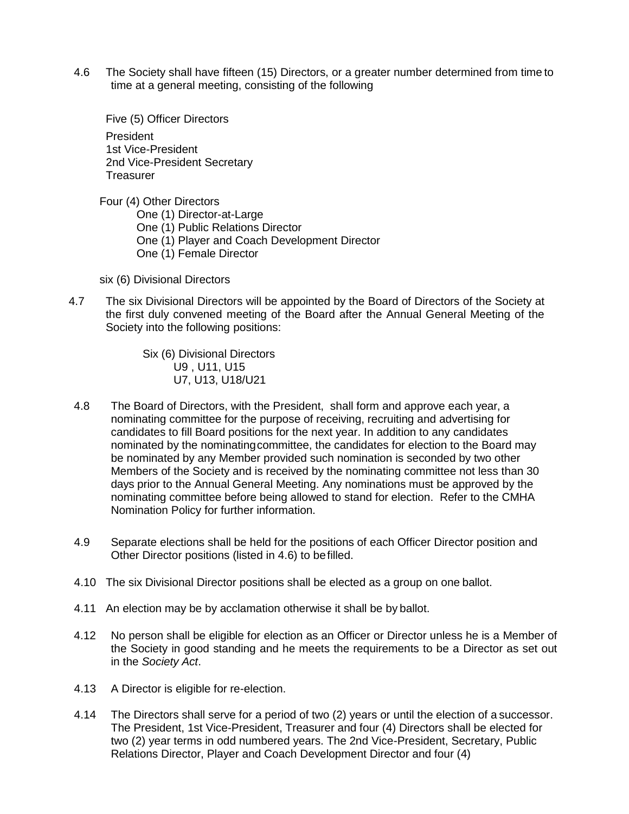4.6 The Society shall have fifteen (15) Directors, or a greater number determined from time to time at a general meeting, consisting of the following

Five (5) Officer Directors President 1st Vice-President 2nd Vice-President Secretary **Treasurer** 

Four (4) Other Directors One (1) Director-at-Large One (1) Public Relations Director One (1) Player and Coach Development Director One (1) Female Director

six (6) Divisional Directors

4.7 The six Divisional Directors will be appointed by the Board of Directors of the Society at the first duly convened meeting of the Board after the Annual General Meeting of the Society into the following positions:

> Six (6) Divisional Directors U9 , U11, U15 U7, U13, U18/U21

- 4.8 The Board of Directors, with the President, shall form and approve each year, a nominating committee for the purpose of receiving, recruiting and advertising for candidates to fill Board positions for the next year. In addition to any candidates nominated by the nominatingcommittee, the candidates for election to the Board may be nominated by any Member provided such nomination is seconded by two other Members of the Society and is received by the nominating committee not less than 30 days prior to the Annual General Meeting. Any nominations must be approved by the nominating committee before being allowed to stand for election. Refer to the CMHA Nomination Policy for further information.
- 4.9 Separate elections shall be held for the positions of each Officer Director position and Other Director positions (listed in 4.6) to befilled.
- 4.10 The six Divisional Director positions shall be elected as a group on one ballot.
- 4.11 An election may be by acclamation otherwise it shall be by ballot.
- 4.12 No person shall be eligible for election as an Officer or Director unless he is a Member of the Society in good standing and he meets the requirements to be a Director as set out in the *Society Act*.
- 4.13 A Director is eligible for re-election.
- 4.14 The Directors shall serve for a period of two (2) years or until the election of a successor. The President, 1st Vice-President, Treasurer and four (4) Directors shall be elected for two (2) year terms in odd numbered years. The 2nd Vice-President, Secretary, Public Relations Director, Player and Coach Development Director and four (4)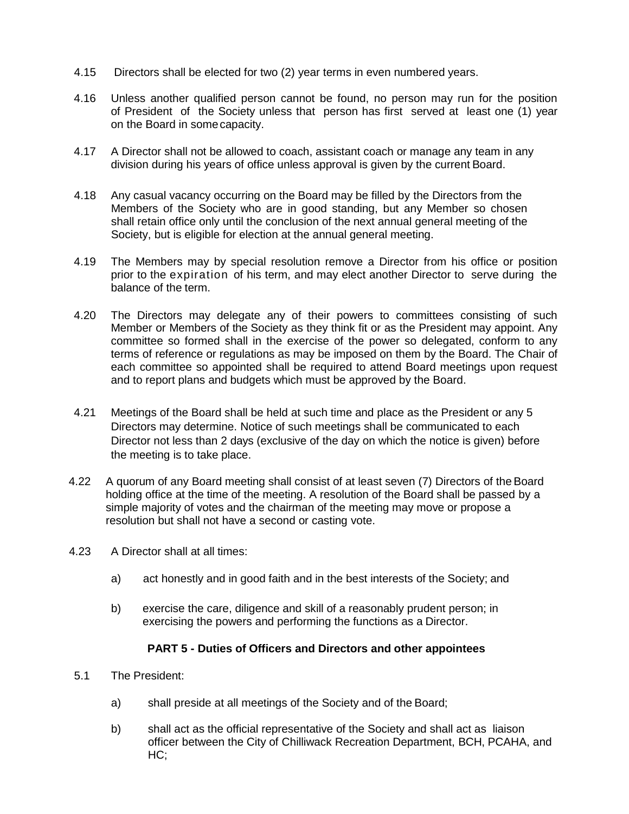- 4.15 Directors shall be elected for two (2) year terms in even numbered years.
- 4.16 Unless another qualified person cannot be found, no person may run for the position of President of the Society unless that person has first served at least one (1) year on the Board in somecapacity.
- 4.17 A Director shall not be allowed to coach, assistant coach or manage any team in any division during his years of office unless approval is given by the current Board.
- 4.18 Any casual vacancy occurring on the Board may be filled by the Directors from the Members of the Society who are in good standing, but any Member so chosen shall retain office only until the conclusion of the next annual general meeting of the Society, but is eligible for election at the annual general meeting.
- 4.19 The Members may by special resolution remove a Director from his office or position prior to the expiration of his term, and may elect another Director to serve during the balance of the term.
- 4.20 The Directors may delegate any of their powers to committees consisting of such Member or Members of the Society as they think fit or as the President may appoint. Any committee so formed shall in the exercise of the power so delegated, conform to any terms of reference or regulations as may be imposed on them by the Board. The Chair of each committee so appointed shall be required to attend Board meetings upon request and to report plans and budgets which must be approved by the Board.
- 4.21 Meetings of the Board shall be held at such time and place as the President or any 5 Directors may determine. Notice of such meetings shall be communicated to each Director not less than 2 days (exclusive of the day on which the notice is given) before the meeting is to take place.
- 4.22 A quorum of any Board meeting shall consist of at least seven (7) Directors of the Board holding office at the time of the meeting. A resolution of the Board shall be passed by a simple majority of votes and the chairman of the meeting may move or propose a resolution but shall not have a second or casting vote.
- 4.23 A Director shall at all times:
	- a) act honestly and in good faith and in the best interests of the Society; and
	- b) exercise the care, diligence and skill of a reasonably prudent person; in exercising the powers and performing the functions as a Director.

### **PART 5 - Duties of Officers and Directors and other appointees**

- 5.1 The President:
	- a) shall preside at all meetings of the Society and of the Board;
	- b) shall act as the official representative of the Society and shall act as liaison officer between the City of Chilliwack Recreation Department, BCH, PCAHA, and HC;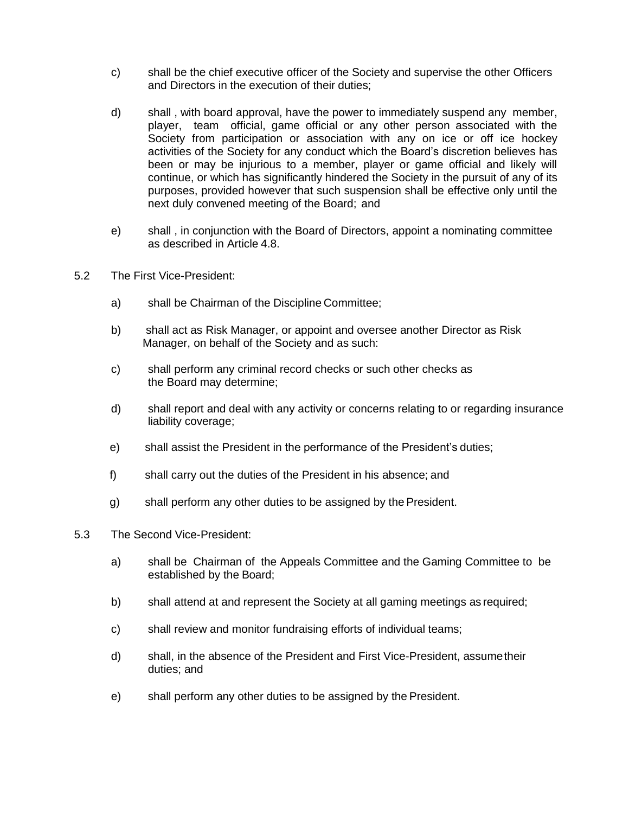- c) shall be the chief executive officer of the Society and supervise the other Officers and Directors in the execution of their duties;
- d) shall , with board approval, have the power to immediately suspend any member, player, team official, game official or any other person associated with the Society from participation or association with any on ice or off ice hockey activities of the Society for any conduct which the Board's discretion believes has been or may be injurious to a member, player or game official and likely will continue, or which has significantly hindered the Society in the pursuit of any of its purposes, provided however that such suspension shall be effective only until the next duly convened meeting of the Board; and
- e) shall , in conjunction with the Board of Directors, appoint a nominating committee as described in Article 4.8.
- 5.2 The First Vice-President:
	- a) shall be Chairman of the Discipline Committee;
	- b) shall act as Risk Manager, or appoint and oversee another Director as Risk Manager, on behalf of the Society and as such:
	- c) shall perform any criminal record checks or such other checks as the Board may determine;
	- d) shall report and deal with any activity or concerns relating to or regarding insurance liability coverage;
	- e) shall assist the President in the performance of the President's duties;
	- f) shall carry out the duties of the President in his absence; and
	- g) shall perform any other duties to be assigned by the President.
- 5.3 The Second Vice-President:
	- a) shall be Chairman of the Appeals Committee and the Gaming Committee to be established by the Board;
	- b) shall attend at and represent the Society at all gaming meetings as required;
	- c) shall review and monitor fundraising efforts of individual teams;
	- d) shall, in the absence of the President and First Vice-President, assumetheir duties; and
	- e) shall perform any other duties to be assigned by the President.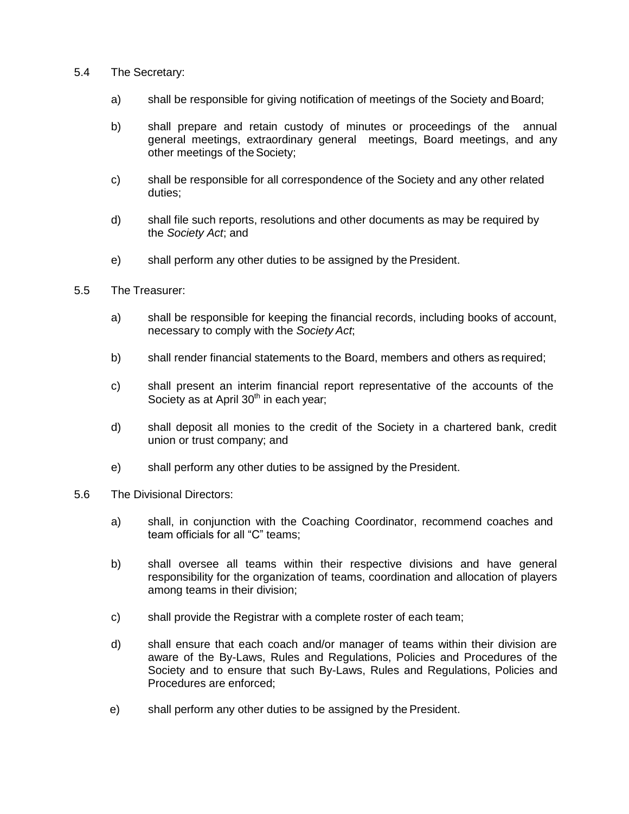#### 5.4 The Secretary:

- a) shall be responsible for giving notification of meetings of the Society and Board;
- b) shall prepare and retain custody of minutes or proceedings of the annual general meetings, extraordinary general meetings, Board meetings, and any other meetings of the Society;
- c) shall be responsible for all correspondence of the Society and any other related duties;
- d) shall file such reports, resolutions and other documents as may be required by the *Society Act*; and
- e) shall perform any other duties to be assigned by the President.
- 5.5 The Treasurer:
	- a) shall be responsible for keeping the financial records, including books of account, necessary to comply with the *Society Act*;
	- b) shall render financial statements to the Board, members and others as required;
	- c) shall present an interim financial report representative of the accounts of the Society as at April 30<sup>th</sup> in each year;
	- d) shall deposit all monies to the credit of the Society in a chartered bank, credit union or trust company; and
	- e) shall perform any other duties to be assigned by the President.
- 5.6 The Divisional Directors:
	- a) shall, in conjunction with the Coaching Coordinator, recommend coaches and team officials for all "C" teams;
	- b) shall oversee all teams within their respective divisions and have general responsibility for the organization of teams, coordination and allocation of players among teams in their division;
	- c) shall provide the Registrar with a complete roster of each team;
	- d) shall ensure that each coach and/or manager of teams within their division are aware of the By-Laws, Rules and Regulations, Policies and Procedures of the Society and to ensure that such By-Laws, Rules and Regulations, Policies and Procedures are enforced;
	- e) shall perform any other duties to be assigned by the President.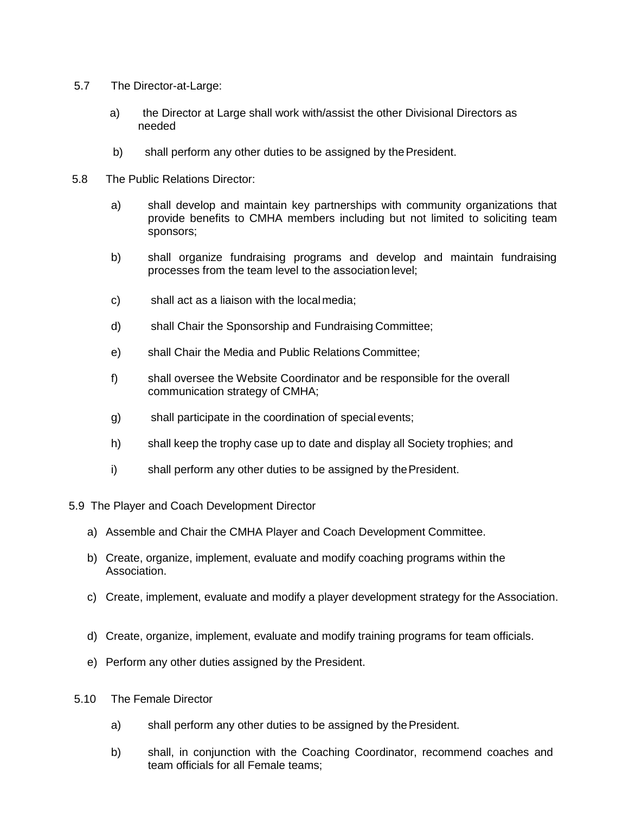- 5.7 The Director-at-Large:
	- a) the Director at Large shall work with/assist the other Divisional Directors as needed
	- b) shall perform any other duties to be assigned by the President.
- 5.8 The Public Relations Director:
	- a) shall develop and maintain key partnerships with community organizations that provide benefits to CMHA members including but not limited to soliciting team sponsors;
	- b) shall organize fundraising programs and develop and maintain fundraising processes from the team level to the association level;
	- c) shall act as a liaison with the local media;
	- d) shall Chair the Sponsorship and Fundraising Committee;
	- e) shall Chair the Media and Public Relations Committee;
	- f) shall oversee the Website Coordinator and be responsible for the overall communication strategy of CMHA;
	- g) shall participate in the coordination of special events;
	- h) shall keep the trophy case up to date and display all Society trophies; and
	- i) shall perform any other duties to be assigned by the President.
- 5.9 The Player and Coach Development Director
	- a) Assemble and Chair the CMHA Player and Coach Development Committee.
	- b) Create, organize, implement, evaluate and modify coaching programs within the Association.
	- c) Create, implement, evaluate and modify a player development strategy for the Association.
	- d) Create, organize, implement, evaluate and modify training programs for team officials.
	- e) Perform any other duties assigned by the President.
- 5.10 The Female Director
	- a) shall perform any other duties to be assigned by the President.
	- b) shall, in conjunction with the Coaching Coordinator, recommend coaches and team officials for all Female teams;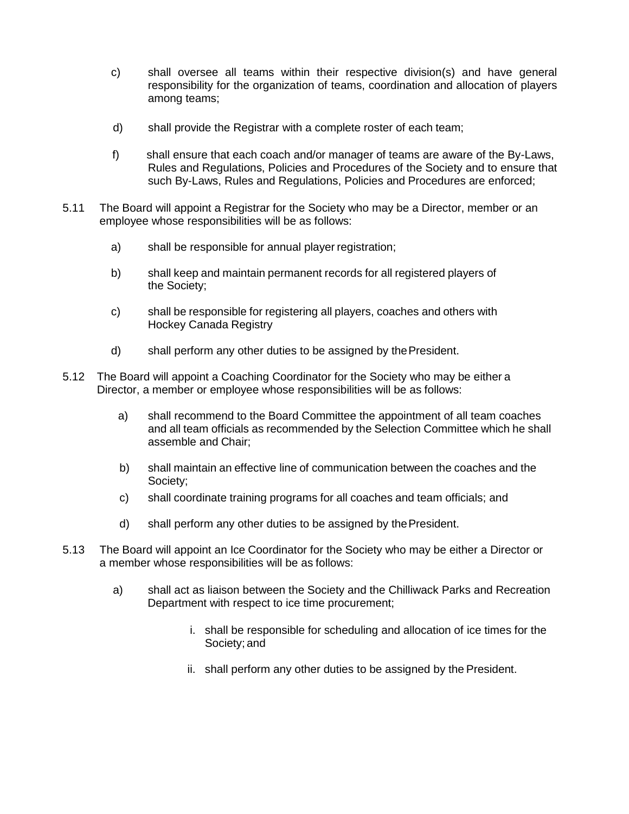- c) shall oversee all teams within their respective division(s) and have general responsibility for the organization of teams, coordination and allocation of players among teams;
- d) shall provide the Registrar with a complete roster of each team;
- f) shall ensure that each coach and/or manager of teams are aware of the By-Laws, Rules and Regulations, Policies and Procedures of the Society and to ensure that such By-Laws, Rules and Regulations, Policies and Procedures are enforced;
- 5.11 The Board will appoint a Registrar for the Society who may be a Director, member or an employee whose responsibilities will be as follows:
	- a) shall be responsible for annual player registration;
	- b) shall keep and maintain permanent records for all registered players of the Society;
	- c) shall be responsible for registering all players, coaches and others with Hockey Canada Registry
	- d) shall perform any other duties to be assigned by thePresident.
- 5.12 The Board will appoint a Coaching Coordinator for the Society who may be either a Director, a member or employee whose responsibilities will be as follows:
	- a) shall recommend to the Board Committee the appointment of all team coaches and all team officials as recommended by the Selection Committee which he shall assemble and Chair;
	- b) shall maintain an effective line of communication between the coaches and the Society;
	- c) shall coordinate training programs for all coaches and team officials; and
	- d) shall perform any other duties to be assigned by thePresident.
- 5.13 The Board will appoint an Ice Coordinator for the Society who may be either a Director or a member whose responsibilities will be as follows:
	- a) shall act as liaison between the Society and the Chilliwack Parks and Recreation Department with respect to ice time procurement;
		- i. shall be responsible for scheduling and allocation of ice times for the Society; and
		- ii. shall perform any other duties to be assigned by the President.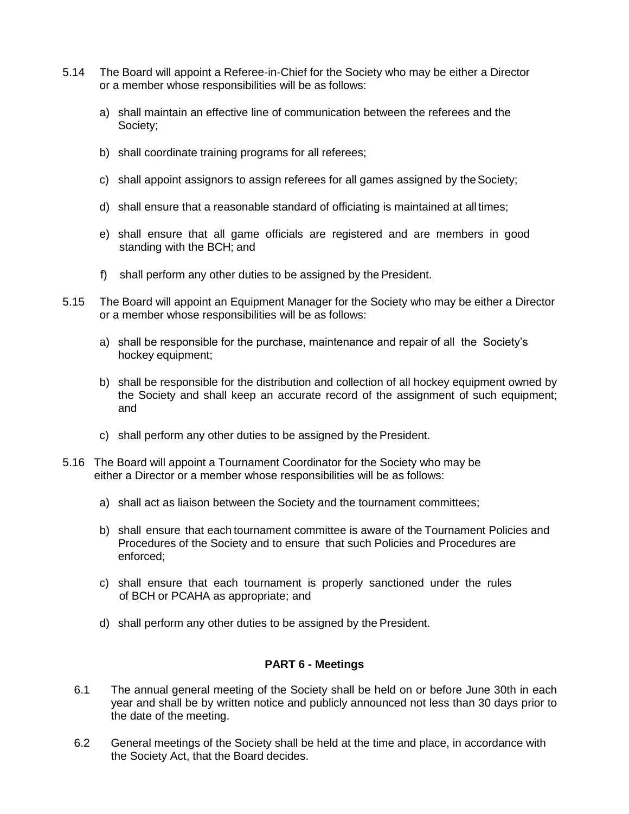- 5.14 The Board will appoint a Referee-in-Chief for the Society who may be either a Director or a member whose responsibilities will be as follows:
	- a) shall maintain an effective line of communication between the referees and the Society;
	- b) shall coordinate training programs for all referees;
	- c) shall appoint assignors to assign referees for all games assigned by the Society;
	- d) shall ensure that a reasonable standard of officiating is maintained at alltimes;
	- e) shall ensure that all game officials are registered and are members in good standing with the BCH; and
	- f) shall perform any other duties to be assigned by the President.
- 5.15 The Board will appoint an Equipment Manager for the Society who may be either a Director or a member whose responsibilities will be as follows:
	- a) shall be responsible for the purchase, maintenance and repair of all the Society's hockey equipment;
	- b) shall be responsible for the distribution and collection of all hockey equipment owned by the Society and shall keep an accurate record of the assignment of such equipment; and
	- c) shall perform any other duties to be assigned by the President.
- 5.16 The Board will appoint a Tournament Coordinator for the Society who may be either a Director or a member whose responsibilities will be as follows:
	- a) shall act as liaison between the Society and the tournament committees;
	- b) shall ensure that each tournament committee is aware of the Tournament Policies and Procedures of the Society and to ensure that such Policies and Procedures are enforced;
	- c) shall ensure that each tournament is properly sanctioned under the rules of BCH or PCAHA as appropriate; and
	- d) shall perform any other duties to be assigned by the President.

### **PART 6 - Meetings**

- 6.1 The annual general meeting of the Society shall be held on or before June 30th in each year and shall be by written notice and publicly announced not less than 30 days prior to the date of the meeting.
- 6.2 General meetings of the Society shall be held at the time and place, in accordance with the Society Act, that the Board decides.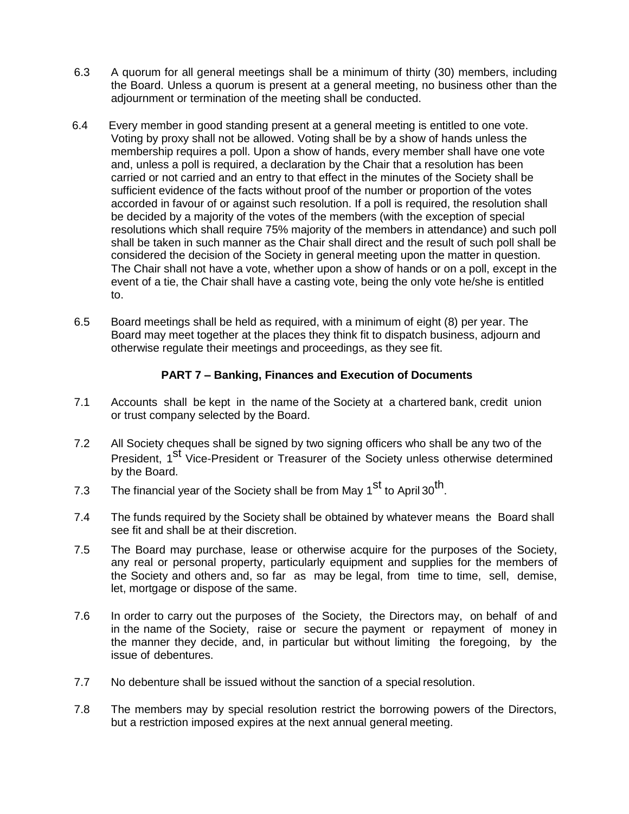- 6.3 A quorum for all general meetings shall be a minimum of thirty (30) members, including the Board. Unless a quorum is present at a general meeting, no business other than the adjournment or termination of the meeting shall be conducted.
- 6.4 Every member in good standing present at a general meeting is entitled to one vote. Voting by proxy shall not be allowed. Voting shall be by a show of hands unless the membership requires a poll. Upon a show of hands, every member shall have one vote and, unless a poll is required, a declaration by the Chair that a resolution has been carried or not carried and an entry to that effect in the minutes of the Society shall be sufficient evidence of the facts without proof of the number or proportion of the votes accorded in favour of or against such resolution. If a poll is required, the resolution shall be decided by a majority of the votes of the members (with the exception of special resolutions which shall require 75% majority of the members in attendance) and such poll shall be taken in such manner as the Chair shall direct and the result of such poll shall be considered the decision of the Society in general meeting upon the matter in question. The Chair shall not have a vote, whether upon a show of hands or on a poll, except in the event of a tie, the Chair shall have a casting vote, being the only vote he/she is entitled to.
- 6.5 Board meetings shall be held as required, with a minimum of eight (8) per year. The Board may meet together at the places they think fit to dispatch business, adjourn and otherwise regulate their meetings and proceedings, as they see fit.

## **PART 7 – Banking, Finances and Execution of Documents**

- 7.1 Accounts shall be kept in the name of the Society at a chartered bank, credit union or trust company selected by the Board.
- 7.2 All Society cheques shall be signed by two signing officers who shall be any two of the President, 1<sup>st</sup> Vice-President or Treasurer of the Society unless otherwise determined by the Board.
- 7.3 The financial year of the Society shall be from May 1<sup>st</sup> to April 30<sup>th</sup>.
- 7.4 The funds required by the Society shall be obtained by whatever means the Board shall see fit and shall be at their discretion.
- 7.5 The Board may purchase, lease or otherwise acquire for the purposes of the Society, any real or personal property, particularly equipment and supplies for the members of the Society and others and, so far as may be legal, from time to time, sell, demise, let, mortgage or dispose of the same.
- 7.6 In order to carry out the purposes of the Society, the Directors may, on behalf of and in the name of the Society, raise or secure the payment or repayment of money in the manner they decide, and, in particular but without limiting the foregoing, by the issue of debentures.
- 7.7 No debenture shall be issued without the sanction of a special resolution.
- 7.8 The members may by special resolution restrict the borrowing powers of the Directors, but a restriction imposed expires at the next annual general meeting.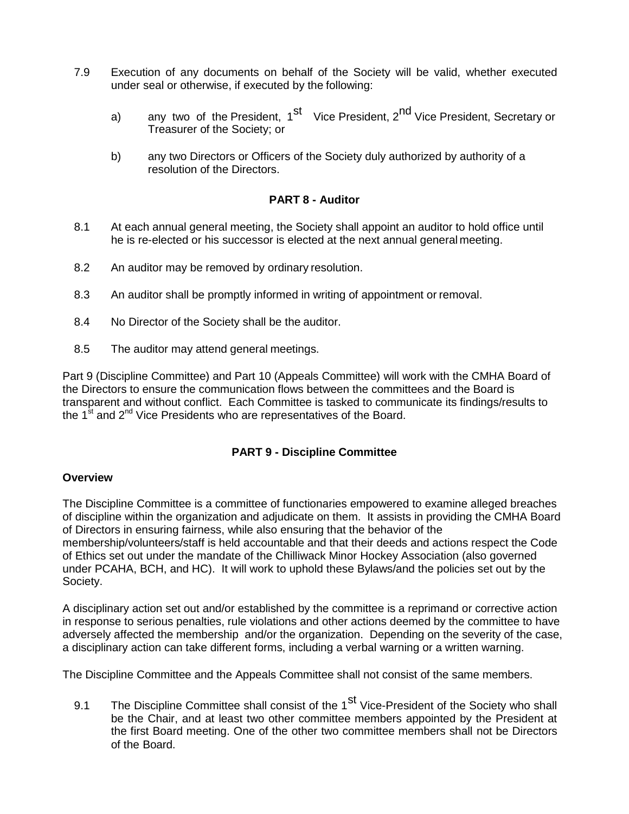- 7.9 Execution of any documents on behalf of the Society will be valid, whether executed under seal or otherwise, if executed by the following:
	- a) any two of the President, 1<sup>st</sup> Vice President, 2<sup>nd</sup> Vice President, Secretary or Treasurer of the Society; or
	- b) any two Directors or Officers of the Society duly authorized by authority of a resolution of the Directors.

### **PART 8 - Auditor**

- 8.1 At each annual general meeting, the Society shall appoint an auditor to hold office until he is re-elected or his successor is elected at the next annual general meeting.
- 8.2 An auditor may be removed by ordinary resolution.
- 8.3 An auditor shall be promptly informed in writing of appointment or removal.
- 8.4 No Director of the Society shall be the auditor.
- 8.5 The auditor may attend general meetings.

Part 9 (Discipline Committee) and Part 10 (Appeals Committee) will work with the CMHA Board of the Directors to ensure the communication flows between the committees and the Board is transparent and without conflict. Each Committee is tasked to communicate its findings/results to the  $1<sup>st</sup>$  and  $2<sup>nd</sup>$  Vice Presidents who are representatives of the Board.

### **PART 9 - Discipline Committee**

#### **Overview**

The Discipline Committee is a committee of functionaries empowered to examine alleged breaches of discipline within the organization and adjudicate on them. It assists in providing the CMHA Board of Directors in ensuring fairness, while also ensuring that the behavior of the membership/volunteers/staff is held accountable and that their deeds and actions respect the Code of Ethics set out under the mandate of the Chilliwack Minor Hockey Association (also governed under PCAHA, BCH, and HC). It will work to uphold these Bylaws/and the policies set out by the Society.

A disciplinary action set out and/or established by the committee is a reprimand or corrective action in response to serious penalties, rule violations and other actions deemed by the committee to have adversely affected the membership and/or the organization. Depending on the severity of the case, a disciplinary action can take different forms, including a verbal warning or a written warning.

The Discipline Committee and the Appeals Committee shall not consist of the same members.

9.1 The Discipline Committee shall consist of the 1<sup>st</sup> Vice-President of the Society who shall be the Chair, and at least two other committee members appointed by the President at the first Board meeting. One of the other two committee members shall not be Directors of the Board.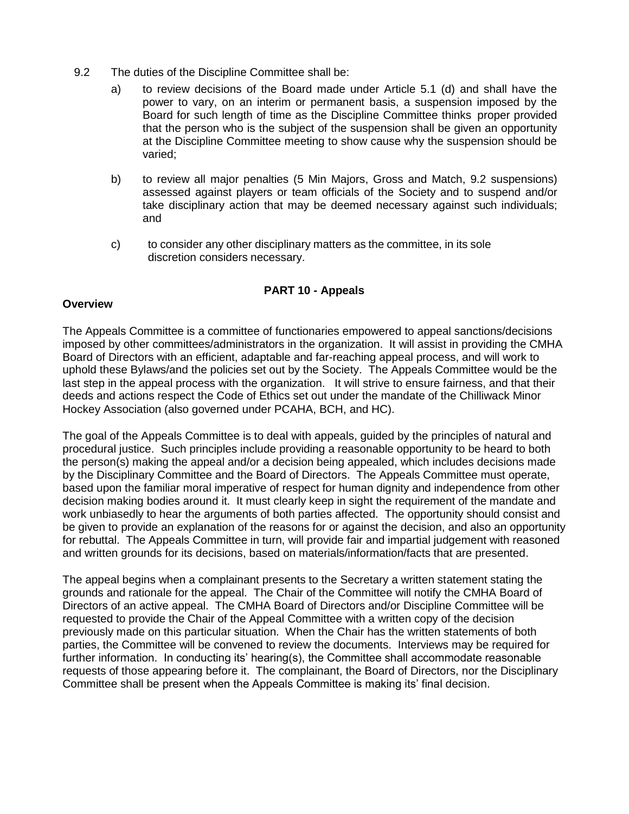- 9.2 The duties of the Discipline Committee shall be:
	- a) to review decisions of the Board made under Article 5.1 (d) and shall have the power to vary, on an interim or permanent basis, a suspension imposed by the Board for such length of time as the Discipline Committee thinks proper provided that the person who is the subject of the suspension shall be given an opportunity at the Discipline Committee meeting to show cause why the suspension should be varied;
	- b) to review all major penalties (5 Min Majors, Gross and Match, 9.2 suspensions) assessed against players or team officials of the Society and to suspend and/or take disciplinary action that may be deemed necessary against such individuals; and
	- c) to consider any other disciplinary matters as the committee, in its sole discretion considers necessary.

## **PART 10 - Appeals**

#### **Overview**

The Appeals Committee is a committee of functionaries empowered to appeal sanctions/decisions imposed by other committees/administrators in the organization. It will assist in providing the CMHA Board of Directors with an efficient, adaptable and far-reaching appeal process, and will work to uphold these Bylaws/and the policies set out by the Society. The Appeals Committee would be the last step in the appeal process with the organization. It will strive to ensure fairness, and that their deeds and actions respect the Code of Ethics set out under the mandate of the Chilliwack Minor Hockey Association (also governed under PCAHA, BCH, and HC).

The goal of the Appeals Committee is to deal with appeals, guided by the principles of natural and procedural justice. Such principles include providing a reasonable opportunity to be heard to both the person(s) making the appeal and/or a decision being appealed, which includes decisions made by the Disciplinary Committee and the Board of Directors. The Appeals Committee must operate, based upon the familiar moral imperative of respect for human dignity and independence from other decision making bodies around it. It must clearly keep in sight the requirement of the mandate and work unbiasedly to hear the arguments of both parties affected. The opportunity should consist and be given to provide an explanation of the reasons for or against the decision, and also an opportunity for rebuttal. The Appeals Committee in turn, will provide fair and impartial judgement with reasoned and written grounds for its decisions, based on materials/information/facts that are presented.

The appeal begins when a complainant presents to the Secretary a written statement stating the grounds and rationale for the appeal. The Chair of the Committee will notify the CMHA Board of Directors of an active appeal. The CMHA Board of Directors and/or Discipline Committee will be requested to provide the Chair of the Appeal Committee with a written copy of the decision previously made on this particular situation. When the Chair has the written statements of both parties, the Committee will be convened to review the documents. Interviews may be required for further information. In conducting its' hearing(s), the Committee shall accommodate reasonable requests of those appearing before it. The complainant, the Board of Directors, nor the Disciplinary Committee shall be present when the Appeals Committee is making its' final decision.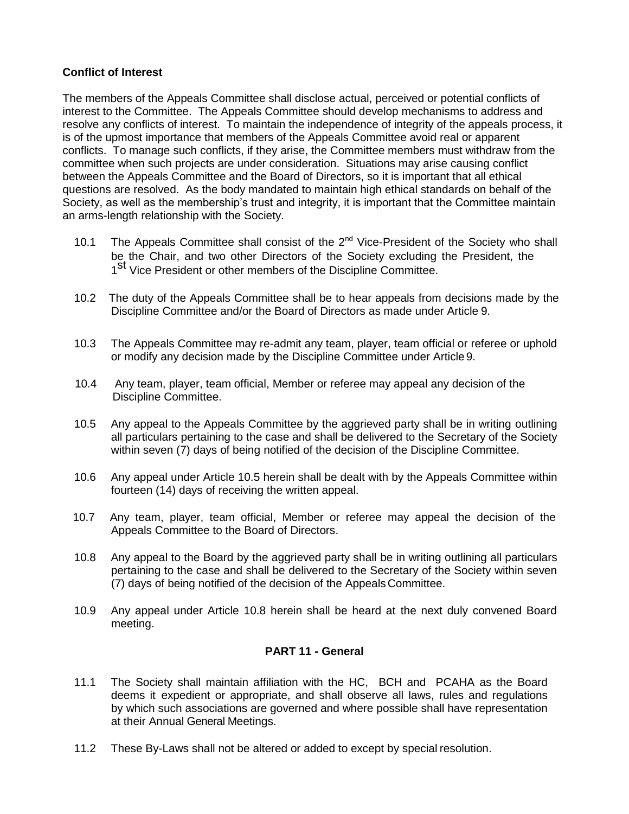#### **Conflict of Interest**

The members of the Appeals Committee shall disclose actual, perceived or potential conflicts of interest to the Committee. The Appeals Committee should develop mechanisms to address and resolve any conflicts of interest. To maintain the independence of integrity of the appeals process, it is of the upmost importance that members of the Appeals Committee avoid real or apparent conflicts. To manage such conflicts, if they arise, the Committee members must withdraw from the committee when such projects are under consideration. Situations may arise causing conflict between the Appeals Committee and the Board of Directors, so it is important that all ethical questions are resolved. As the body mandated to maintain high ethical standards on behalf of the Society, as well as the membership's trust and integrity, it is important that the Committee maintain an arms-length relationship with the Society.

- 10.1 The Appeals Committee shall consist of the 2<sup>nd</sup> Vice-President of the Society who shall be the Chair, and two other Directors of the Society excluding the President, the **State Chain, and the Children Directors** of the Discipline Committee.
- 10.2 The duty of the Appeals Committee shall be to hear appeals from decisions made by the Discipline Committee and/or the Board of Directors as made under Article 9.
- 10.3 The Appeals Committee may re-admit any team, player, team official or referee or uphold or modify any decision made by the Discipline Committee under Article 9.
- 10.4 Any team, player, team official, Member or referee may appeal any decision of the Discipline Committee.
- 10.5 Any appeal to the Appeals Committee by the aggrieved party shall be in writing outlining all particulars pertaining to the case and shall be delivered to the Secretary of the Society within seven (7) days of being notified of the decision of the Discipline Committee.
- 10.6 Any appeal under Article 10.5 herein shall be dealt with by the Appeals Committee within fourteen (14) days of receiving the written appeal.
- 10.7 Any team, player, team official, Member or referee may appeal the decision of the Appeals Committee to the Board of Directors.
- 10.8 Any appeal to the Board by the aggrieved party shall be in writing outlining all particulars pertaining to the case and shall be delivered to the Secretary of the Society within seven (7) days of being notified of the decision of the Appeals Committee.
- 10.9 Any appeal under Article 10.8 herein shall be heard at the next duly convened Board meeting.

### **PART 11 - General**

- 11.1 The Society shall maintain affiliation with the HC, BCH and PCAHA as the Board deems it expedient or appropriate, and shall observe all laws, rules and regulations by which such associations are governed and where possible shall have representation at their Annual General Meetings.
- 11.2 These By-Laws shall not be altered or added to except by special resolution.